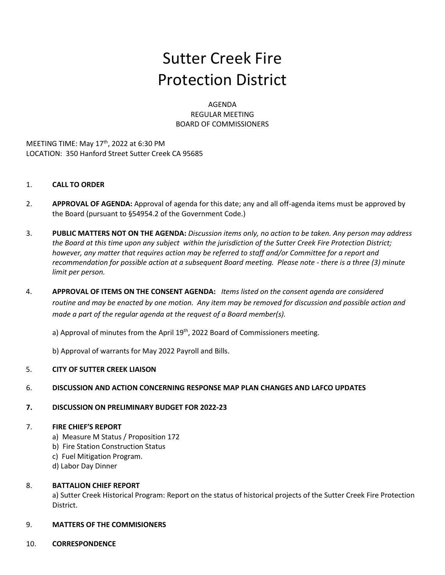# Sutter Creek Fire Protection District

AGENDA REGULAR MEETING BOARD OF COMMISSIONERS

MEETING TIME: May 17<sup>th</sup>, 2022 at 6:30 PM LOCATION: 350 Hanford Street Sutter Creek CA 95685

## 1. **CALL TO ORDER**

- 2. **APPROVAL OF AGENDA:** Approval of agenda for this date; any and all off-agenda items must be approved by the Board (pursuant to §54954.2 of the Government Code.)
- 3. **PUBLIC MATTERS NOT ON THE AGENDA:** *Discussion items only, no action to be taken. Any person may address the Board at this time upon any subject within the jurisdiction of the Sutter Creek Fire Protection District; however, any matter that requires action may be referred to staff and/or Committee for a report and recommendation for possible action at a subsequent Board meeting. Please note - there is a three (3) minute limit per person.*
- 4. **APPROVAL OF ITEMS ON THE CONSENT AGENDA:** *Items listed on the consent agenda are considered routine and may be enacted by one motion. Any item may be removed for discussion and possible action and made a part of the regular agenda at the request of a Board member(s).*

a) Approval of minutes from the April 19<sup>th</sup>, 2022 Board of Commissioners meeting.

b) Approval of warrants for May 2022 Payroll and Bills.

## 5. **CITY OF SUTTER CREEK LIAISON**

## 6. **DISCUSSION AND ACTION CONCERNING RESPONSE MAP PLAN CHANGES AND LAFCO UPDATES**

## **7. DISCUSSION ON PRELIMINARY BUDGET FOR 2022-23**

## 7. **FIRE CHIEF'S REPORT**

- a) Measure M Status / Proposition 172
- b) Fire Station Construction Status
- c) Fuel Mitigation Program.
- d) Labor Day Dinner

## 8. **BATTALION CHIEF REPORT**

a) Sutter Creek Historical Program: Report on the status of historical projects of the Sutter Creek Fire Protection District.

## 9. **MATTERS OF THE COMMISIONERS**

## 10. **CORRESPONDENCE**